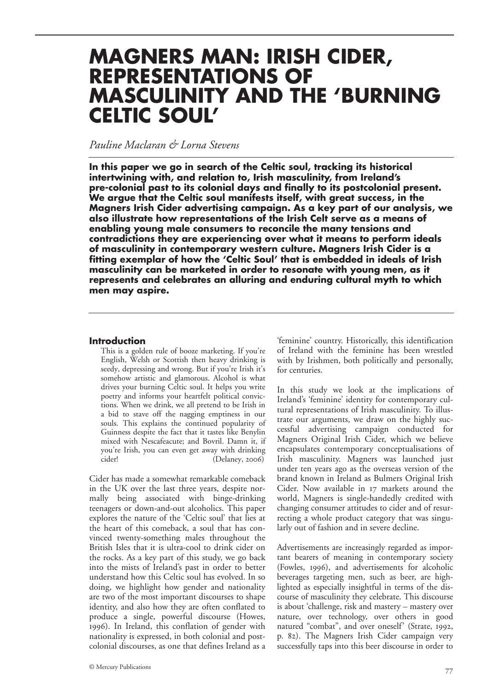# **MAGNERS MAN: IRISH CIDER, REPRESENTATIONS OF MASCULINITY AND THE 'BURNING CELTIC SOUL'**

## *Pauline Maclaran & Lorna Stevens*

**In this paper we go in search of the Celtic soul, tracking its historical intertwining with, and relation to, Irish masculinity, from Ireland's pre-colonial past to its colonial days and finally to its postcolonial present. We argue that the Celtic soul manifests itself, with great success, in the Magners Irish Cider advertising campaign. As a key part of our analysis, we also illustrate how representations of the Irish Celt serve as a means of enabling young male consumers to reconcile the many tensions and contradictions they are experiencing over what it means to perform ideals of masculinity in contemporary western culture. Magners Irish Cider is a fitting exemplar of how the 'Celtic Soul' that is embedded in ideals of Irish masculinity can be marketed in order to resonate with young men, as it represents and celebrates an alluring and enduring cultural myth to which men may aspire.**

## **Introduction**

This is a golden rule of booze marketing. If you're English, Welsh or Scottish then heavy drinking is seedy, depressing and wrong. But if you're Irish it's somehow artistic and glamorous. Alcohol is what drives your burning Celtic soul. It helps you write poetry and informs your heartfelt political convictions. When we drink, we all pretend to be Irish in a bid to stave off the nagging emptiness in our souls. This explains the continued popularity of Guinness despite the fact that it tastes like Benylin mixed with Nescafeacute; and Bovril. Damn it, if you're Irish, you can even get away with drinking  $(Delaney, 2006)$ 

Cider has made a somewhat remarkable comeback in the UK over the last three years, despite normally being associated with binge-drinking teenagers or down-and-out alcoholics. This paper explores the nature of the 'Celtic soul' that lies at the heart of this comeback, a soul that has convinced twenty-something males throughout the British Isles that it is ultra-cool to drink cider on the rocks. As a key part of this study, we go back into the mists of Ireland's past in order to better understand how this Celtic soul has evolved. In so doing, we highlight how gender and nationality are two of the most important discourses to shape identity, and also how they are often conflated to produce a single, powerful discourse (Howes, ). In Ireland, this conflation of gender with nationality is expressed, in both colonial and postcolonial discourses, as one that defines Ireland as a

'feminine' country. Historically, this identification of Ireland with the feminine has been wrestled with by Irishmen, both politically and personally, for centuries.

In this study we look at the implications of Ireland's 'feminine' identity for contemporary cultural representations of Irish masculinity. To illustrate our arguments, we draw on the highly successful advertising campaign conducted for Magners Original Irish Cider, which we believe encapsulates contemporary conceptualisations of Irish masculinity. Magners was launched just under ten years ago as the overseas version of the brand known in Ireland as Bulmers Original Irish Cider. Now available in 17 markets around the world, Magners is single-handedly credited with changing consumer attitudes to cider and of resurrecting a whole product category that was singularly out of fashion and in severe decline.

Advertisements are increasingly regarded as important bearers of meaning in contemporary society (Fowles, 1996), and advertisements for alcoholic beverages targeting men, such as beer, are highlighted as especially insightful in terms of the discourse of masculinity they celebrate. This discourse is about 'challenge, risk and mastery – mastery over nature, over technology, over others in good natured "combat", and over oneself' (Strate, 1992, p. 82). The Magners Irish Cider campaign very successfully taps into this beer discourse in order to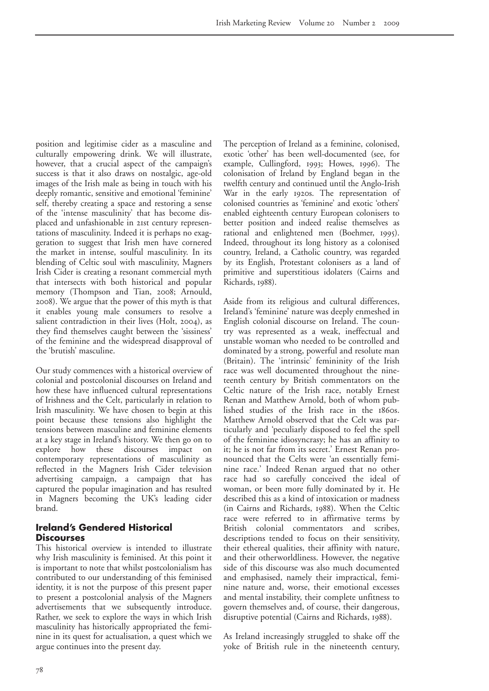position and legitimise cider as a masculine and culturally empowering drink. We will illustrate, however, that a crucial aspect of the campaign's success is that it also draws on nostalgic, age-old images of the Irish male as being in touch with his deeply romantic, sensitive and emotional 'feminine' self, thereby creating a space and restoring a sense of the 'intense masculinity' that has become displaced and unfashionable in 21st century representations of masculinity. Indeed it is perhaps no exaggeration to suggest that Irish men have cornered the market in intense, soulful masculinity. In its blending of Celtic soul with masculinity, Magners Irish Cider is creating a resonant commercial myth that intersects with both historical and popular memory (Thompson and Tian, 2008; Arnould, ). We argue that the power of this myth is that it enables young male consumers to resolve a salient contradiction in their lives (Holt, 2004), as they find themselves caught between the 'sissiness' of the feminine and the widespread disapproval of the 'brutish' masculine.

Our study commences with a historical overview of colonial and postcolonial discourses on Ireland and how these have influenced cultural representations of Irishness and the Celt, particularly in relation to Irish masculinity. We have chosen to begin at this point because these tensions also highlight the tensions between masculine and feminine elements at a key stage in Ireland's history. We then go on to explore how these discourses impact on contemporary representations of masculinity as reflected in the Magners Irish Cider television advertising campaign, a campaign that has captured the popular imagination and has resulted in Magners becoming the UK's leading cider brand.

## **Ireland's Gendered Historical Discourses**

This historical overview is intended to illustrate why Irish masculinity is feminised. At this point it is important to note that whilst postcolonialism has contributed to our understanding of this feminised identity, it is not the purpose of this present paper to present a postcolonial analysis of the Magners advertisements that we subsequently introduce. Rather, we seek to explore the ways in which Irish masculinity has historically appropriated the feminine in its quest for actualisation, a quest which we argue continues into the present day.

The perception of Ireland as a feminine, colonised, exotic 'other' has been well-documented (see, for example, Cullingford, 1993; Howes, 1996). The colonisation of Ireland by England began in the twelfth century and continued until the Anglo-Irish War in the early 1920s. The representation of colonised countries as 'feminine' and exotic 'others' enabled eighteenth century European colonisers to better position and indeed realise themselves as rational and enlightened men (Boehmer, 1995). Indeed, throughout its long history as a colonised country, Ireland, a Catholic country, was regarded by its English, Protestant colonisers as a land of primitive and superstitious idolaters (Cairns and Richards, 1988).

Aside from its religious and cultural differences, Ireland's 'feminine' nature was deeply enmeshed in English colonial discourse on Ireland. The country was represented as a weak, ineffectual and unstable woman who needed to be controlled and dominated by a strong, powerful and resolute man (Britain). The 'intrinsic' femininity of the Irish race was well documented throughout the nineteenth century by British commentators on the Celtic nature of the Irish race, notably Ernest Renan and Matthew Arnold, both of whom published studies of the Irish race in the  $186$ os. Matthew Arnold observed that the Celt was particularly and 'peculiarly disposed to feel the spell of the feminine idiosyncrasy; he has an affinity to it; he is not far from its secret.' Ernest Renan pronounced that the Celts were 'an essentially feminine race.' Indeed Renan argued that no other race had so carefully conceived the ideal of woman, or been more fully dominated by it. He described this as a kind of intoxication or madness (in Cairns and Richards, 1988). When the Celtic race were referred to in affirmative terms by British colonial commentators and scribes, descriptions tended to focus on their sensitivity, their ethereal qualities, their affinity with nature, and their otherworldliness. However, the negative side of this discourse was also much documented and emphasised, namely their impractical, feminine nature and, worse, their emotional excesses and mental instability, their complete unfitness to govern themselves and, of course, their dangerous, disruptive potential (Cairns and Richards, 1988).

As Ireland increasingly struggled to shake off the yoke of British rule in the nineteenth century,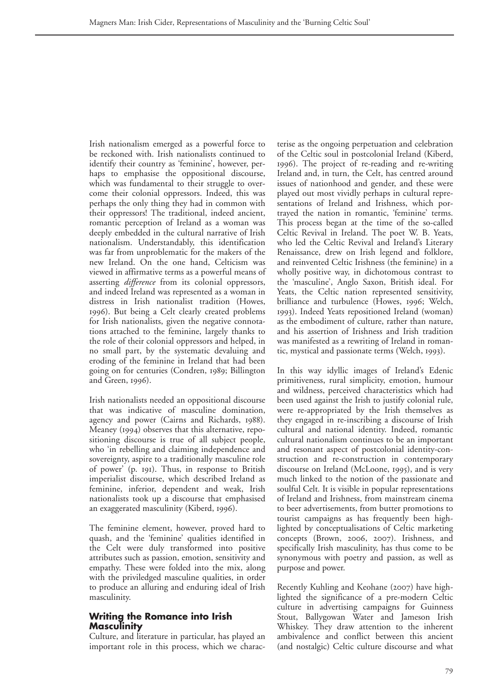Irish nationalism emerged as a powerful force to be reckoned with. Irish nationalists continued to identify their country as 'feminine', however, perhaps to emphasise the oppositional discourse, which was fundamental to their struggle to overcome their colonial oppressors. Indeed, this was perhaps the only thing they had in common with their oppressors! The traditional, indeed ancient, romantic perception of Ireland as a woman was deeply embedded in the cultural narrative of Irish nationalism. Understandably, this identification was far from unproblematic for the makers of the new Ireland. On the one hand, Celticism was viewed in affirmative terms as a powerful means of asserting *difference* from its colonial oppressors, and indeed Ireland was represented as a woman in distress in Irish nationalist tradition (Howes, ). But being a Celt clearly created problems for Irish nationalists, given the negative connotations attached to the feminine, largely thanks to the role of their colonial oppressors and helped, in no small part, by the systematic devaluing and eroding of the feminine in Ireland that had been going on for centuries (Condren, 1989; Billington and Green, 1996).

Irish nationalists needed an oppositional discourse that was indicative of masculine domination, agency and power (Cairns and Richards, 1988). Meaney (1994) observes that this alternative, repositioning discourse is true of all subject people, who 'in rebelling and claiming independence and sovereignty, aspire to a traditionally masculine role of power' (p. 191). Thus, in response to British imperialist discourse, which described Ireland as feminine, inferior, dependent and weak, Irish nationalists took up a discourse that emphasised an exaggerated masculinity (Kiberd, 1996).

The feminine element, however, proved hard to quash, and the 'feminine' qualities identified in the Celt were duly transformed into positive attributes such as passion, emotion, sensitivity and empathy. These were folded into the mix, along with the priviledged masculine qualities, in order to produce an alluring and enduring ideal of Irish masculinity.

## **Writing the Romance into Irish Masculinity**

Culture, and literature in particular, has played an important role in this process, which we characterise as the ongoing perpetuation and celebration of the Celtic soul in postcolonial Ireland (Kiberd, ). The project of re-reading and re-writing Ireland and, in turn, the Celt, has centred around issues of nationhood and gender, and these were played out most vividly perhaps in cultural representations of Ireland and Irishness, which portrayed the nation in romantic, 'feminine' terms. This process began at the time of the so-called Celtic Revival in Ireland. The poet W. B. Yeats, who led the Celtic Revival and Ireland's Literary Renaissance, drew on Irish legend and folklore, and reinvented Celtic Irishness (the feminine) in a wholly positive way, in dichotomous contrast to the 'masculine', Anglo Saxon, British ideal. For Yeats, the Celtic nation represented sensitivity, brilliance and turbulence (Howes, 1996; Welch, ). Indeed Yeats repositioned Ireland (woman) as the embodiment of culture, rather than nature, and his assertion of Irishness and Irish tradition was manifested as a rewriting of Ireland in romantic, mystical and passionate terms (Welch, 1993).

In this way idyllic images of Ireland's Edenic primitiveness, rural simplicity, emotion, humour and wildness, perceived characteristics which had been used against the Irish to justify colonial rule, were re-appropriated by the Irish themselves as they engaged in re-inscribing a discourse of Irish cultural and national identity. Indeed, romantic cultural nationalism continues to be an important and resonant aspect of postcolonial identity-construction and re-construction in contemporary discourse on Ireland (McLoone, 1995), and is very much linked to the notion of the passionate and soulful Celt*.* It is visible in popular representations of Ireland and Irishness, from mainstream cinema to beer advertisements, from butter promotions to tourist campaigns as has frequently been highlighted by conceptualisations of Celtic marketing concepts (Brown, 2006, 2007). Irishness, and specifically Irish masculinity, has thus come to be synonymous with poetry and passion, as well as purpose and power.

Recently Kuhling and Keohane (2007) have highlighted the significance of a pre-modern Celtic culture in advertising campaigns for Guinness Stout, Ballygowan Water and Jameson Irish Whiskey. They draw attention to the inherent ambivalence and conflict between this ancient (and nostalgic) Celtic culture discourse and what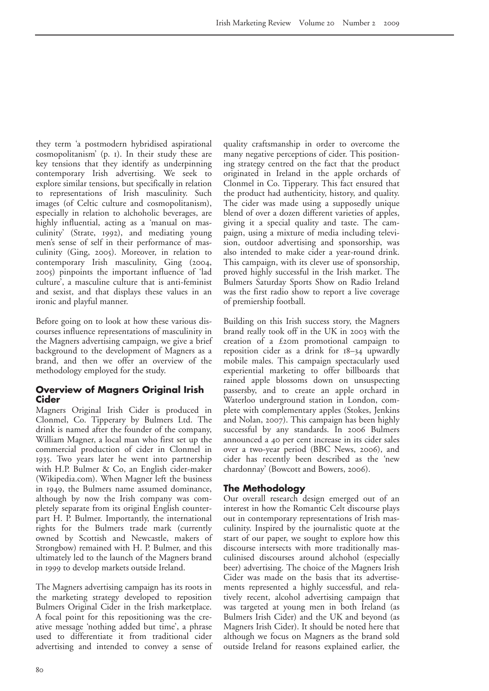they term 'a postmodern hybridised aspirational  $cosm$  oplitanism' (p.  $i$ ). In their study these are key tensions that they identify as underpinning contemporary Irish advertising. We seek to explore similar tensions, but specifically in relation to representations of Irish masculinity. Such images (of Celtic culture and cosmopolitanism), especially in relation to alchoholic beverages, are highly influential, acting as a 'manual on masculinity' (Strate, 1992), and mediating young men's sense of self in their performance of masculinity (Ging, 2005). Moreover, in relation to contemporary Irish masculinity, Ging (2004, ) pinpoints the important influence of 'lad culture', a masculine culture that is anti-feminist and sexist, and that displays these values in an ironic and playful manner.

Before going on to look at how these various discourses influence representations of masculinity in the Magners advertising campaign, we give a brief background to the development of Magners as a brand, and then we offer an overview of the methodology employed for the study.

## **Overview of Magners Original Irish Cider**

Magners Original Irish Cider is produced in Clonmel, Co. Tipperary by Bulmers Ltd. The drink is named after the founder of the company, William Magner, a local man who first set up the commercial production of cider in Clonmel in . Two years later he went into partnership with H.P. Bulmer & Co, an English cider-maker (Wikipedia.com). When Magner left the business in 1949, the Bulmers name assumed dominance, although by now the Irish company was completely separate from its original English counterpart H. P. Bulmer. Importantly, the international rights for the Bulmers trade mark (currently owned by Scottish and Newcastle, makers of Strongbow) remained with H. P. Bulmer, and this ultimately led to the launch of the Magners brand in 1999 to develop markets outside Ireland.

The Magners advertising campaign has its roots in the marketing strategy developed to reposition Bulmers Original Cider in the Irish marketplace. A focal point for this repositioning was the creative message 'nothing added but time', a phrase used to differentiate it from traditional cider advertising and intended to convey a sense of quality craftsmanship in order to overcome the many negative perceptions of cider. This positioning strategy centred on the fact that the product originated in Ireland in the apple orchards of Clonmel in Co. Tipperary. This fact ensured that the product had authenticity, history, and quality. The cider was made using a supposedly unique blend of over a dozen different varieties of apples, giving it a special quality and taste. The campaign, using a mixture of media including television, outdoor advertising and sponsorship, was also intended to make cider a year-round drink. This campaign, with its clever use of sponsorship, proved highly successful in the Irish market. The Bulmers Saturday Sports Show on Radio Ireland was the first radio show to report a live coverage of premiership football.

Building on this Irish success story, the Magners brand really took off in the UK in 2003 with the creation of a  $£2$ om promotional campaign to reposition cider as a drink for  $18-34$  upwardly mobile males. This campaign spectacularly used experiential marketing to offer billboards that rained apple blossoms down on unsuspecting passersby, and to create an apple orchard in Waterloo underground station in London, complete with complementary apples (Stokes, Jenkins and Nolan, 2007). This campaign has been highly successful by any standards. In 2006 Bulmers announced a 40 per cent increase in its cider sales over a two-year period (BBC News, 2006), and cider has recently been described as the 'new chardonnay' (Bowcott and Bowers, 2006).

## **The Methodology**

Our overall research design emerged out of an interest in how the Romantic Celt discourse plays out in contemporary representations of Irish masculinity. Inspired by the journalistic quote at the start of our paper, we sought to explore how this discourse intersects with more traditionally masculinised discourses around alchohol (especially beer) advertising. The choice of the Magners Irish Cider was made on the basis that its advertisements represented a highly successful, and relatively recent, alcohol advertising campaign that was targeted at young men in both Ireland (as Bulmers Irish Cider) and the UK and beyond (as Magners Irish Cider). It should be noted here that although we focus on Magners as the brand sold outside Ireland for reasons explained earlier, the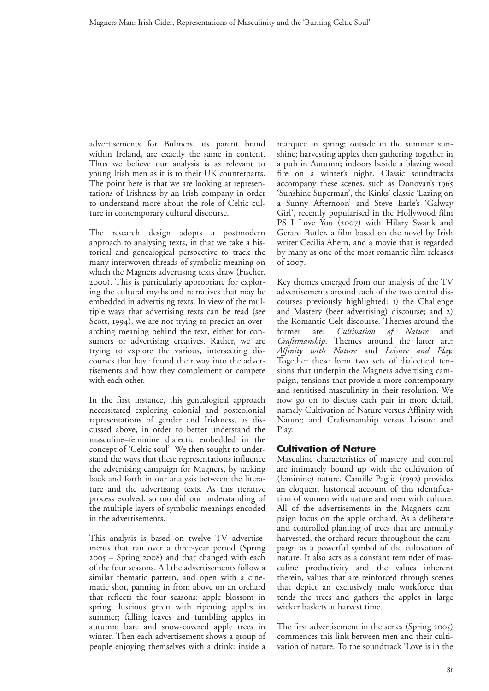advertisements for Bulmers, its parent brand within Ireland, are exactly the same in content. Thus we believe our analysis is as relevant to young Irish men as it is to their UK counterparts. The point here is that we are looking at representations of Irishness by an Irish company in order to understand more about the role of Celtic culture in contemporary cultural discourse.

The research design adopts a postmodern approach to analysing texts, in that we take a historical and genealogical perspective to track the many interwoven threads of symbolic meaning on which the Magners advertising texts draw (Fischer, ). This is particularly appropriate for exploring the cultural myths and narratives that may be embedded in advertising texts. In view of the multiple ways that advertising texts can be read (see Scott, 1994), we are not trying to predict an overarching meaning behind the text, either for consumers or advertising creatives. Rather, we are trying to explore the various, intersecting discourses that have found their way into the advertisements and how they complement or compete with each other.

In the first instance, this genealogical approach necessitated exploring colonial and postcolonial representations of gender and Irishness, as discussed above, in order to better understand the masculine–feminine dialectic embedded in the concept of 'Celtic soul'. We then sought to understand the ways that these representations influence the advertising campaign for Magners, by tacking back and forth in our analysis between the literature and the advertising texts. As this iterative process evolved, so too did our understanding of the multiple layers of symbolic meanings encoded in the advertisements.

This analysis is based on twelve TV advertisements that ran over a three-year period (Spring  $2005$  – Spring  $2008$ ) and that changed with each of the four seasons. All the advertisements follow a similar thematic pattern, and open with a cinematic shot, panning in from above on an orchard that reflects the four seasons: apple blossom in spring; luscious green with ripening apples in summer; falling leaves and tumbling apples in autumn; bare and snow-covered apple trees in winter. Then each advertisement shows a group of people enjoying themselves with a drink: inside a

marquee in spring; outside in the summer sunshine; harvesting apples then gathering together in a pub in Autumn; indoors beside a blazing wood fire on a winter's night. Classic soundtracks accompany these scenes, such as Donovan's 'Sunshine Superman', the Kinks' classic 'Lazing on a Sunny Afternoon' and Steve Earle's 'Galway Girl', recently popularised in the Hollywood film PS I Love You (2007) with Hilary Swank and Gerard Butler, a film based on the novel by Irish writer Cecilia Ahern, and a movie that is regarded by many as one of the most romantic film releases of 2007.

Key themes emerged from our analysis of the TV advertisements around each of the two central discourses previously highlighted: 1) the Challenge and Mastery (beer advertising) discourse; and 2) the Romantic Celt discourse. Themes around the former are: *Cultivation of Nature* and *Craftsmanship*. Themes around the latter are: *Affinity with Nature* and *Leisure and Play.* Together these form two sets of dialectical tensions that underpin the Magners advertising campaign, tensions that provide a more contemporary and sensitised masculinity in their resolution. We now go on to discuss each pair in more detail, namely Cultivation of Nature versus Affinity with Nature; and Craftsmanship versus Leisure and Play.

## **Cultivation of Nature**

Masculine characteristics of mastery and control are intimately bound up with the cultivation of (feminine) nature. Camille Paglia (1992) provides an eloquent historical account of this identification of women with nature and men with culture. All of the advertisements in the Magners campaign focus on the apple orchard. As a deliberate and controlled planting of trees that are annually harvested, the orchard recurs throughout the campaign as a powerful symbol of the cultivation of nature. It also acts as a constant reminder of masculine productivity and the values inherent therein, values that are reinforced through scenes that depict an exclusively male workforce that tends the trees and gathers the apples in large wicker baskets at harvest time.

The first advertisement in the series (Spring 2005) commences this link between men and their cultivation of nature. To the soundtrack 'Love is in the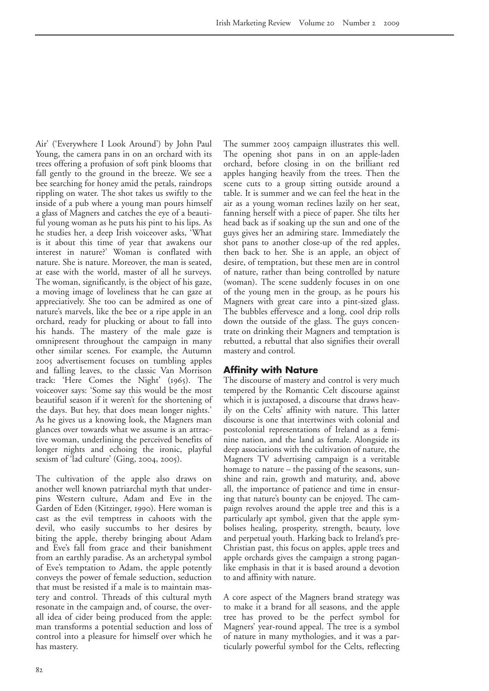Air' ('Everywhere I Look Around') by John Paul Young, the camera pans in on an orchard with its trees offering a profusion of soft pink blooms that fall gently to the ground in the breeze. We see a bee searching for honey amid the petals, raindrops rippling on water. The shot takes us swiftly to the inside of a pub where a young man pours himself a glass of Magners and catches the eye of a beautiful young woman as he puts his pint to his lips. As he studies her, a deep Irish voiceover asks, 'What is it about this time of year that awakens our interest in nature?' Woman is conflated with nature. She is nature. Moreover, the man is seated, at ease with the world, master of all he surveys. The woman, significantly, is the object of his gaze, a moving image of loveliness that he can gaze at appreciatively. She too can be admired as one of nature's marvels, like the bee or a ripe apple in an orchard, ready for plucking or about to fall into his hands. The mastery of the male gaze is omnipresent throughout the campaign in many other similar scenes. For example, the Autumn advertisement focuses on tumbling apples and falling leaves, to the classic Van Morrison track: 'Here Comes the Night' (1965). The voiceover says: 'Some say this would be the most beautiful season if it weren't for the shortening of the days. But hey, that does mean longer nights.' As he gives us a knowing look, the Magners man glances over towards what we assume is an attractive woman, underlining the perceived benefits of longer nights and echoing the ironic, playful sexism of 'lad culture' (Ging, 2004, 2005).

The cultivation of the apple also draws on another well known patriarchal myth that underpins Western culture, Adam and Eve in the Garden of Eden (Kitzinger, 1990). Here woman is cast as the evil temptress in cahoots with the devil, who easily succumbs to her desires by biting the apple, thereby bringing about Adam and Eve's fall from grace and their banishment from an earthly paradise. As an archetypal symbol of Eve's temptation to Adam, the apple potently conveys the power of female seduction, seduction that must be resisted if a male is to maintain mastery and control. Threads of this cultural myth resonate in the campaign and, of course, the overall idea of cider being produced from the apple: man transforms a potential seduction and loss of control into a pleasure for himself over which he has mastery.

The summer 2005 campaign illustrates this well. The opening shot pans in on an apple-laden orchard, before closing in on the brilliant red apples hanging heavily from the trees. Then the scene cuts to a group sitting outside around a table. It is summer and we can feel the heat in the air as a young woman reclines lazily on her seat, fanning herself with a piece of paper. She tilts her head back as if soaking up the sun and one of the guys gives her an admiring stare. Immediately the shot pans to another close-up of the red apples, then back to her. She is an apple, an object of desire, of temptation, but these men are in control of nature, rather than being controlled by nature (woman). The scene suddenly focuses in on one of the young men in the group, as he pours his Magners with great care into a pint-sized glass. The bubbles effervesce and a long, cool drip rolls down the outside of the glass. The guys concentrate on drinking their Magners and temptation is rebutted, a rebuttal that also signifies their overall mastery and control.

#### **Affinity with Nature**

The discourse of mastery and control is very much tempered by the Romantic Celt discourse against which it is juxtaposed, a discourse that draws heavily on the Celts' affinity with nature. This latter discourse is one that intertwines with colonial and postcolonial representations of Ireland as a feminine nation, and the land as female. Alongside its deep associations with the cultivation of nature, the Magners TV advertising campaign is a veritable homage to nature – the passing of the seasons, sunshine and rain, growth and maturity, and, above all, the importance of patience and time in ensuring that nature's bounty can be enjoyed. The campaign revolves around the apple tree and this is a particularly apt symbol, given that the apple symbolises healing, prosperity, strength, beauty, love and perpetual youth. Harking back to Ireland's pre-Christian past, this focus on apples, apple trees and apple orchards gives the campaign a strong paganlike emphasis in that it is based around a devotion to and affinity with nature.

A core aspect of the Magners brand strategy was to make it a brand for all seasons, and the apple tree has proved to be the perfect symbol for Magners' year-round appeal. The tree is a symbol of nature in many mythologies, and it was a particularly powerful symbol for the Celts, reflecting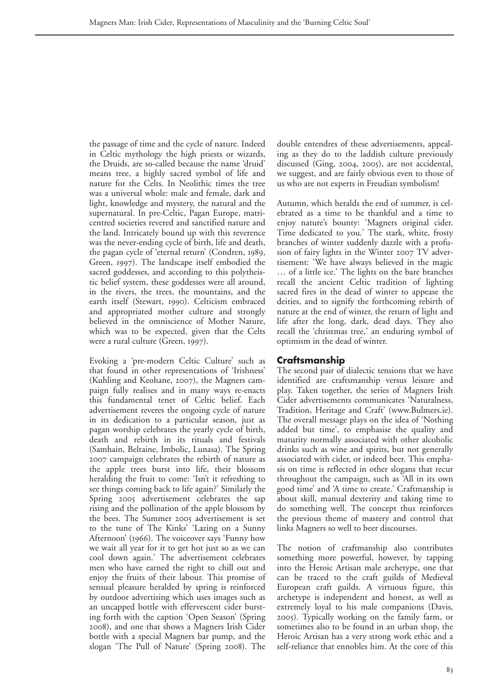the passage of time and the cycle of nature. Indeed in Celtic mythology the high priests or wizards, the Druids, are so-called because the name 'druid' means tree, a highly sacred symbol of life and nature for the Celts. In Neolithic times the tree was a universal whole: male and female, dark and light, knowledge and mystery, the natural and the supernatural. In pre-Celtic, Pagan Europe, matricentred societies revered and sanctified nature and the land. Intricately bound up with this reverence was the never-ending cycle of birth, life and death, the pagan cycle of 'eternal return' (Condren, 1989, Green, 1997). The landscape itself embodied the sacred goddesses, and according to this polytheistic belief system, these goddesses were all around, in the rivers, the trees, the mountains, and the earth itself (Stewart, 1990). Celticism embraced and appropriated mother culture and strongly believed in the omniscience of Mother Nature, which was to be expected, given that the Celts were a rural culture (Green, 1997).

Evoking a 'pre-modern Celtic Culture' such as that found in other representations of 'Irishness' (Kuhling and Keohane, 2007), the Magners campaign fully realises and in many ways re-enacts this fundamental tenet of Celtic belief. Each advertisement reveres the ongoing cycle of nature in its dedication to a particular season, just as pagan worship celebrates the yearly cycle of birth, death and rebirth in its rituals and festivals (Samhain, Beltaine, Imbolic, Lunasa). The Spring 2007 campaign celebrates the rebirth of nature as the apple trees burst into life, their blossom heralding the fruit to come: 'Isn't it refreshing to see things coming back to life again?' Similarly the Spring 2005 advertisement celebrates the sap rising and the pollination of the apple blossom by the bees. The Summer 2005 advertisement is set to the tune of The Kinks' 'Lazing on a Sunny Afternoon' (1966). The voiceover says 'Funny how we wait all year for it to get hot just so as we can cool down again.' The advertisement celebrates men who have earned the right to chill out and enjoy the fruits of their labour. This promise of sensual pleasure heralded by spring is reinforced by outdoor advertising which uses images such as an uncapped bottle with effervescent cider bursting forth with the caption 'Open Season' (Spring ), and one that shows a Magners Irish Cider bottle with a special Magners bar pump, and the slogan 'The Pull of Nature' (Spring 2008). The

double entendres of these advertisements, appealing as they do to the laddish culture previously discussed (Ging,  $2004$ ,  $2005$ ), are not accidental, we suggest, and are fairly obvious even to those of us who are not experts in Freudian symbolism!

Autumn, which heralds the end of summer, is celebrated as a time to be thankful and a time to enjoy nature's bounty: 'Magners original cider. Time dedicated to you.' The stark, white, frosty branches of winter suddenly dazzle with a profusion of fairy lights in the Winter  $2007$  TV advertisement: 'We have always believed in the magic … of a little ice.' The lights on the bare branches recall the ancient Celtic tradition of lighting sacred fires in the dead of winter to appease the deities, and to signify the forthcoming rebirth of nature at the end of winter, the return of light and life after the long, dark, dead days. They also recall the 'christmas tree,' an enduring symbol of optimism in the dead of winter.

## **Craftsmanship**

The second pair of dialectic tensions that we have identified are craftsmanship versus leisure and play. Taken together, the series of Magners Irish Cider advertisements communicates 'Naturalness, Tradition, Heritage and Craft' (www.Bulmers.ie). The overall message plays on the idea of 'Nothing added but time', to emphasise the quality and maturity normally associated with other alcoholic drinks such as wine and spirits, but not generally associated with cider, or indeed beer. This emphasis on time is reflected in other slogans that recur throughout the campaign, such as 'All in its own good time' and 'A time to create.' Craftmanship is about skill, manual dexterity and taking time to do something well. The concept thus reinforces the previous theme of mastery and control that links Magners so well to beer discourses.

The notion of craftmanship also contributes something more powerful, however, by tapping into the Heroic Artisan male archetype, one that can be traced to the craft guilds of Medieval European craft guilds. A virtuous figure, this archetype is independent and honest, as well as extremely loyal to his male companions (Davis, ). Typically working on the family farm, or sometimes also to be found in an urban shop, the Heroic Artisan has a very strong work ethic and a self-reliance that ennobles him. At the core of this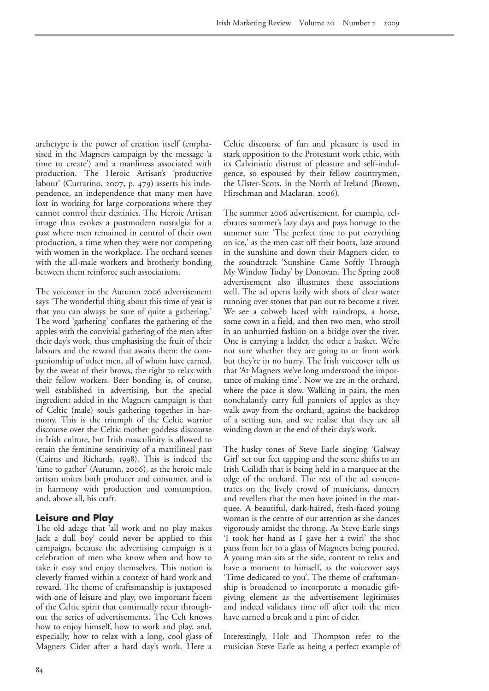archetype is the power of creation itself (emphasised in the Magners campaign by the message 'a time to create') and a manliness associated with production. The Heroic Artisan's 'productive labour' (Currarino, 2007, p. 479) asserts his independence, an independence that many men have lost in working for large corporations where they cannot control their destinies. The Heroic Artisan image thus evokes a postmodern nostalgia for a past where men remained in control of their own production, a time when they were not competing with women in the workplace. The orchard scenes with the all-male workers and brotherly bonding between them reinforce such associations.

The voiceover in the Autumn 2006 advertisement says 'The wonderful thing about this time of year is that you can always be sure of quite a gathering.' The word 'gathering' conflates the gathering of the apples with the convivial gathering of the men after their day's work, thus emphasising the fruit of their labours and the reward that awaits them: the companionship of other men, all of whom have earned, by the sweat of their brows, the right to relax with their fellow workers. Beer bonding is, of course, well established in advertising, but the special ingredient added in the Magners campaign is that of Celtic (male) souls gathering together in harmony. This is the triumph of the Celtic warrior discourse over the Celtic mother goddess discourse in Irish culture, but Irish masculinity is allowed to retain the feminine sensitivity of a matrilineal past (Cairns and Richards, 1998). This is indeed the 'time to gather' (Autumn, 2006), as the heroic male artisan unites both producer and consumer, and is in harmony with production and consumption, and, above all, his craft.

#### **Leisure and Play**

The old adage that 'all work and no play makes Jack a dull boy' could never be applied to this campaign, because the advertising campaign is a celebration of men who know when and how to take it easy and enjoy themselves. This notion is cleverly framed within a context of hard work and reward. The theme of craftsmanship is juxtaposed with one of leisure and play, two important facets of the Celtic spirit that continually recur throughout the series of advertisements. The Celt knows how to enjoy himself, how to work and play, and, especially, how to relax with a long, cool glass of Magners Cider after a hard day's work. Here a

Celtic discourse of fun and pleasure is used in stark opposition to the Protestant work ethic, with its Calvinistic distrust of pleasure and self-indulgence, so espoused by their fellow countrymen, the Ulster-Scots, in the North of Ireland (Brown, Hirschman and Maclaran, 2006).

The summer 2006 advertisement, for example, celebrates summer's lazy days and pays homage to the summer sun: 'The perfect time to put everything on ice,' as the men cast off their boots, laze around in the sunshine and down their Magners cider, to the soundtrack 'Sunshine Came Softly Through My Window Today' by Donovan. The Spring advertisement also illustrates these associations well. The ad opens lazily with shots of clear water running over stones that pan out to become a river. We see a cobweb laced with raindrops, a horse, some cows in a field, and then two men, who stroll in an unhurried fashion on a bridge over the river. One is carrying a ladder, the other a basket. We're not sure whether they are going to or from work but they're in no hurry. The Irish voiceover tells us that 'At Magners we've long understood the importance of making time'. Now we are in the orchard, where the pace is slow. Walking in pairs, the men nonchalantly carry full panniers of apples as they walk away from the orchard, against the backdrop of a setting sun, and we realise that they are all winding down at the end of their day's work.

The husky tones of Steve Earle singing 'Galway Girl' set our feet tapping and the scene shifts to an Irish Ceilidh that is being held in a marquee at the edge of the orchard. The rest of the ad concentrates on the lively crowd of musicians, dancers and revellers that the men have joined in the marquee. A beautiful, dark-haired, fresh-faced young woman is the centre of our attention as she dances vigorously amidst the throng. As Steve Earle sings 'I took her hand as I gave her a twirl' the shot pans from her to a glass of Magners being poured. A young man sits at the side, content to relax and have a moment to himself, as the voiceover says 'Time dedicated to you'. The theme of craftsmanship is broadened to incorporate a monadic giftgiving element as the advertisement legitimises and indeed validates time off after toil: the men have earned a break and a pint of cider.

Interestingly, Holt and Thompson refer to the musician Steve Earle as being a perfect example of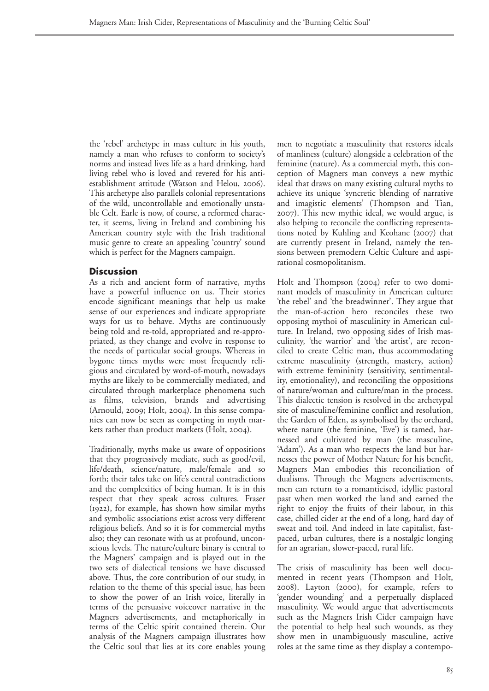the 'rebel' archetype in mass culture in his youth, namely a man who refuses to conform to society's norms and instead lives life as a hard drinking, hard living rebel who is loved and revered for his antiestablishment attitude (Watson and Helou, 2006). This archetype also parallels colonial representations of the wild, uncontrollable and emotionally unstable Celt. Earle is now, of course, a reformed character, it seems, living in Ireland and combining his American country style with the Irish traditional music genre to create an appealing 'country' sound which is perfect for the Magners campaign.

## **Discussion**

As a rich and ancient form of narrative, myths have a powerful influence on us. Their stories encode significant meanings that help us make sense of our experiences and indicate appropriate ways for us to behave. Myths are continuously being told and re-told, appropriated and re-appropriated, as they change and evolve in response to the needs of particular social groups. Whereas in bygone times myths were most frequently religious and circulated by word-of-mouth, nowadays myths are likely to be commercially mediated, and circulated through marketplace phenomena such as films, television, brands and advertising  $(Arnould, 2009; Holt, 2004).$  In this sense companies can now be seen as competing in myth markets rather than product markets (Holt, 2004).

Traditionally, myths make us aware of oppositions that they progressively mediate, such as good/evil, life/death, science/nature, male/female and so forth; their tales take on life's central contradictions and the complexities of being human. It is in this respect that they speak across cultures. Fraser  $(1922)$ , for example, has shown how similar myths and symbolic associations exist across very different religious beliefs. And so it is for commercial myths also; they can resonate with us at profound, unconscious levels. The nature/culture binary is central to the Magners' campaign and is played out in the two sets of dialectical tensions we have discussed above. Thus, the core contribution of our study, in relation to the theme of this special issue, has been to show the power of an Irish voice, literally in terms of the persuasive voiceover narrative in the Magners advertisements, and metaphorically in terms of the Celtic spirit contained therein. Our analysis of the Magners campaign illustrates how the Celtic soul that lies at its core enables young

men to negotiate a masculinity that restores ideals of manliness (culture) alongside a celebration of the feminine (nature). As a commercial myth, this conception of Magners man conveys a new mythic ideal that draws on many existing cultural myths to achieve its unique 'syncretic blending of narrative and imagistic elements' (Thompson and Tian, ). This new mythic ideal, we would argue, is also helping to reconcile the conflicting representations noted by Kuhling and Keohane (2007) that are currently present in Ireland, namely the tensions between premodern Celtic Culture and aspirational cosmopolitanism.

Holt and Thompson (2004) refer to two dominant models of masculinity in American culture: 'the rebel' and 'the breadwinner'. They argue that the man-of-action hero reconciles these two opposing mythoi of masculinity in American culture. In Ireland, two opposing sides of Irish masculinity, 'the warrior' and 'the artist', are reconciled to create Celtic man, thus accommodating extreme masculinity (strength, mastery, action) with extreme femininity (sensitivity, sentimentality, emotionality), and reconciling the oppositions of nature/woman and culture/man in the process. This dialectic tension is resolved in the archetypal site of masculine/feminine conflict and resolution, the Garden of Eden, as symbolised by the orchard, where nature (the feminine, 'Eve') is tamed, harnessed and cultivated by man (the masculine, 'Adam'). As a man who respects the land but harnesses the power of Mother Nature for his benefit, Magners Man embodies this reconciliation of dualisms. Through the Magners advertisements, men can return to a romanticised, idyllic pastoral past when men worked the land and earned the right to enjoy the fruits of their labour, in this case, chilled cider at the end of a long, hard day of sweat and toil. And indeed in late capitalist, fastpaced, urban cultures, there is a nostalgic longing for an agrarian, slower-paced, rural life.

The crisis of masculinity has been well documented in recent years (Thompson and Holt, 2008). Layton (2000), for example, refers to 'gender wounding' and a perpetually displaced masculinity. We would argue that advertisements such as the Magners Irish Cider campaign have the potential to help heal such wounds, as they show men in unambiguously masculine, active roles at the same time as they display a contempo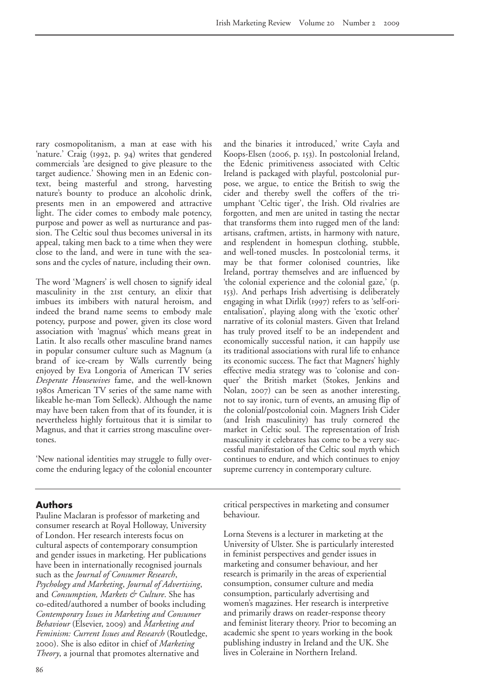rary cosmopolitanism, a man at ease with his 'nature.' Craig  $(1992, p. 94)$  writes that gendered commercials 'are designed to give pleasure to the target audience.' Showing men in an Edenic context, being masterful and strong, harvesting nature's bounty to produce an alcoholic drink, presents men in an empowered and attractive light. The cider comes to embody male potency, purpose and power as well as nurturance and passion. The Celtic soul thus becomes universal in its appeal, taking men back to a time when they were close to the land, and were in tune with the seasons and the cycles of nature, including their own.

The word 'Magners' is well chosen to signify ideal masculinity in the 21st century, an elixir that imbues its imbibers with natural heroism, and indeed the brand name seems to embody male potency, purpose and power, given its close word association with 'magnus' which means great in Latin. It also recalls other masculine brand names in popular consumer culture such as Magnum (a brand of ice-cream by Walls currently being enjoyed by Eva Longoria of American TV series *Desperate Housewives* fame, and the well-known 1980s American TV series of the same name with likeable he-man Tom Selleck). Although the name may have been taken from that of its founder, it is nevertheless highly fortuitous that it is similar to Magnus, and that it carries strong masculine overtones.

'New national identities may struggle to fully overcome the enduring legacy of the colonial encounter

## and the binaries it introduced,' write Cayla and Koops-Elsen (2006, p. 153). In postcolonial Ireland, the Edenic primitiveness associated with Celtic Ireland is packaged with playful, postcolonial purpose, we argue, to entice the British to swig the cider and thereby swell the coffers of the triumphant 'Celtic tiger', the Irish. Old rivalries are forgotten, and men are united in tasting the nectar that transforms them into rugged men of the land: artisans, craftmen, artists, in harmony with nature, and resplendent in homespun clothing, stubble, and well-toned muscles. In postcolonial terms, it may be that former colonised countries, like Ireland, portray themselves and are influenced by 'the colonial experience and the colonial gaze,' (p. ). And perhaps Irish advertising is deliberately engaging in what Dirlik (1997) refers to as 'self-orientalisation', playing along with the 'exotic other' narrative of its colonial masters. Given that Ireland has truly proved itself to be an independent and economically successful nation, it can happily use its traditional associations with rural life to enhance its economic success. The fact that Magners' highly effective media strategy was to 'colonise and conquer' the British market (Stokes, Jenkins and Nolan, 2007) can be seen as another interesting, not to say ironic, turn of events, an amusing flip of the colonial/postcolonial coin. Magners Irish Cider (and Irish masculinity) has truly cornered the market in Celtic soul. The representation of Irish masculinity it celebrates has come to be a very successful manifestation of the Celtic soul myth which continues to endure, and which continues to enjoy supreme currency in contemporary culture.

## **Authors**

Pauline Maclaran is professor of marketing and consumer research at Royal Holloway, University of London. Her research interests focus on cultural aspects of contemporary consumption and gender issues in marketing. Her publications have been in internationally recognised journals such as the *Journal of Consumer Research*, *Psychology and Marketing*, *Journal of Advertising*, and *Consumption, Markets & Culture*. She has co-edited/authored a number of books including *Contemporary Issues in Marketing and Consumer Behaviour* (Elsevier, 2009) and *Marketing and Feminism: Current Issues and Research* (Routledge, ). She is also editor in chief of *Marketing Theory*, a journal that promotes alternative and

critical perspectives in marketing and consumer behaviour.

Lorna Stevens is a lecturer in marketing at the University of Ulster. She is particularly interested in feminist perspectives and gender issues in marketing and consumer behaviour, and her research is primarily in the areas of experiential consumption, consumer culture and media consumption, particularly advertising and women's magazines. Her research is interpretive and primarily draws on reader-response theory and feminist literary theory. Prior to becoming an academic she spent to years working in the book publishing industry in Ireland and the UK. She lives in Coleraine in Northern Ireland.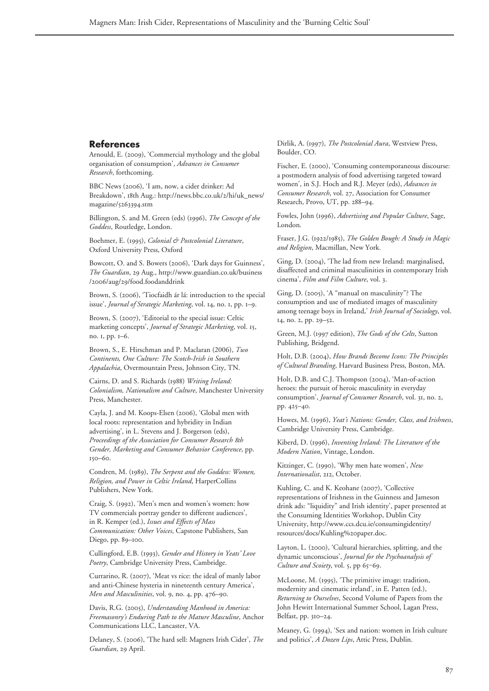## **References**

Arnould, E. (2009), 'Commercial mythology and the global organisation of consumption', *Advances in Consumer Research*, forthcoming.

BBC News (2006), 'I am, now, a cider drinker: Ad Breakdown', 18th Aug.: http://news.bbc.co.uk/2/hi/uk\_news/ magazine/5263394.stm

Billington, S. and M. Green (eds) (1996), *The Concept of the Goddess*, Routledge, London.

Boehmer, E. (), *Colonial & Postcolonial Literature*, Oxford University Press, Oxford

Bowcott, O. and S. Bowers (2006), 'Dark days for Guinness', *The Guardian*, 29 Aug., http://www.guardian.co.uk/business /2006/aug/29/food.foodanddrink

Brown, S. (2006), 'Tiocfaidh ár lá: introduction to the special issue', *Journal of Strategic Marketing*, vol. 14, no. 1, pp. 1-9.

Brown, S. (2007), 'Editorial to the special issue: Celtic marketing concepts', *Journal of Strategic Marketing*, vol. 15, no. I, pp. 1-6.

Brown, S., E. Hirschman and P. Maclaran (2006), *Two Continents, One Culture: The Scotch-Irish in Southern Appalachia*, Overmountain Press, Johnson City, TN.

Cairns, D. and S. Richards (1988) Writing Ireland: *Colonialism, Nationalism and Culture*, Manchester University Press, Manchester.

Cayla, J. and M. Koops-Elsen (2006), 'Global men with local roots: representation and hybridity in Indian advertising', in L. Stevens and J. Borgerson (eds), *Proceedings of the Association for Consumer Research th Gender, Marketing and Consumer Behavior Conference*, pp.  $150 - 60.$ 

Condren, M. (), *The Serpent and the Goddess: Women, Religion, and Power in Celtic Ireland*, HarperCollins Publishers, New York.

Craig, S. (1992), 'Men's men and women's women: how TV commercials portray gender to different audiences', in R. Kemper (ed.), *Issues and Effects of Mass Communication: Other Voices*, Capstone Publishers, San Diego, pp. 89-100.

Cullingford, E.B. (), *Gender and History in Yeats' Love Poetry*, Cambridge University Press, Cambridge.

Currarino, R. (2007), 'Meat vs rice: the ideal of manly labor and anti-Chinese hysteria in nineteenth century America', *Men and Masculinities*, vol. 9, no. 4, pp. 476-90.

Davis, R.G. (), *Understanding Manhood in America: Freemasonry's Enduring Path to the Mature Masculine*, Anchor Communications LLC, Lancaster, VA.

Delaney, S. (2006), 'The hard sell: Magners Irish Cider', *The* Guardian, 29 April.

Dirlik, A. (), *The Postcolonial Aura*, Westview Press, Boulder, CO.

Fischer, E. (2000), 'Consuming contemporaneous discourse: a postmodern analysis of food advertising targeted toward women', in S.J. Hoch and R.J. Meyer (eds), *Advances in Consumer Research*, vol. 27, Association for Consumer Research, Provo, UT, pp. 288-94.

Fowles, John (), *Advertising and Popular Culture*, Sage, London.

Fraser, J.G. (1922/1985), *The Golden Bough: A Study in Magic and Religion*, Macmillan, New York.

Ging, D. (2004), 'The lad from new Ireland: marginalised, disaffected and criminal masculinities in contemporary Irish cinema', *Film and Film Culture*, vol. .

Ging, D. (2005), 'A "manual on masculinity"? The consumption and use of mediated images of masculinity among teenage boys in Ireland,' *Irish Journal of Sociology*, vol.  $I4$ , no. 2, pp.  $29 - 52$ .

Green, M.J. (1997 edition), *The Gods of the Celts*, Sutton Publishing, Bridgend.

Holt, D.B. (), *How Brands Become Icons: The Principles of Cultural Branding*, Harvard Business Press, Boston, MA.

Holt, D.B. and C.J. Thompson (2004), 'Man-of-action heroes: the pursuit of heroic masculinity in everyday consumption', *Journal of Consumer Research*, vol. 31, no. 2, pp. 425-40.

Howes, M. (), *Yeat's Nations: Gender, Class, and Irishness*, Cambridge University Press, Cambridge.

Kiberd, D. (1996), *Inventing Ireland: The Literature of the Modern Nation*, Vintage, London.

Kitzinger, C. (1990), 'Why men hate women', *New Internationalist*, 212, October.

Kuhling, C. and K. Keohane (2007), 'Collective representations of Irishness in the Guinness and Jameson drink ads: "liquidity" and Irish identity', paper presented at the Consuming Identities Workshop, Dublin City University, http://www.ccs.dcu.ie/consumingidentity/ resources/docs/Kuhling%20paper.doc.

Layton, L. (2000), 'Cultural hierarchies, splitting, and the dynamic unconscious', *Journal for the Psychoanalysis of Culture and Scoiety*, vol. 5, pp 65-69.

McLoone, M. (1995), 'The primitive image: tradition, modernity and cinematic ireland', in E. Patten (ed.), *Returning to Ourselves*, Second Volume of Papers from the John Hewitt International Summer School, Lagan Press, Belfast, pp. 310-24.

Meaney, G. (1994), 'Sex and nation: women in Irish culture and politics', *A Dozen Lips*, Attic Press, Dublin.